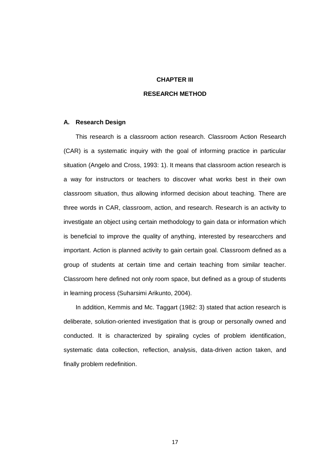# **CHAPTER III**

## **RESEARCH METHOD**

## **A. Research Design**

This research is a classroom action research. Classroom Action Research (CAR) is a systematic inquiry with the goal of informing practice in particular situation (Angelo and Cross, 1993: 1). It means that classroom action research is a way for instructors or teachers to discover what works best in their own classroom situation, thus allowing informed decision about teaching. There are three words in CAR, classroom, action, and research. Research is an activity to investigate an object using certain methodology to gain data or information which is beneficial to improve the quality of anything, interested by researcchers and important. Action is planned activity to gain certain goal. Classroom defined as a group of students at certain time and certain teaching from similar teacher. Classroom here defined not only room space, but defined as a group of students in learning process (Suharsimi Arikunto, 2004).

In addition, Kemmis and Mc. Taggart (1982: 3) stated that action research is deliberate, solution-oriented investigation that is group or personally owned and conducted. It is characterized by spiraling cycles of problem identification, systematic data collection, reflection, analysis, data-driven action taken, and finally problem redefinition.

17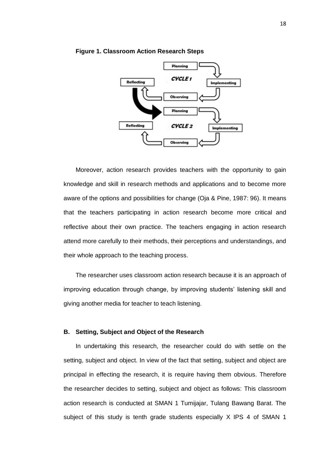

### **Figure 1. Classroom Action Research Steps**

Moreover, action research provides teachers with the opportunity to gain knowledge and skill in research methods and applications and to become more aware of the options and possibilities for change (Oja & Pine, 1987: 96). It means that the teachers participating in action research become more critical and reflective about their own practice. The teachers engaging in action research attend more carefully to their methods, their perceptions and understandings, and their whole approach to the teaching process.

The researcher uses classroom action research because it is an approach of improving education through change, by improving students' listening skill and giving another media for teacher to teach listening.

# **B. Setting, Subject and Object of the Research**

In undertaking this research, the researcher could do with settle on the setting, subject and object. In view of the fact that setting, subject and object are principal in effecting the research, it is require having them obvious. Therefore the researcher decides to setting, subject and object as follows: This classroom action research is conducted at SMAN 1 Tumijajar, Tulang Bawang Barat. The subject of this study is tenth grade students especially X IPS 4 of SMAN 1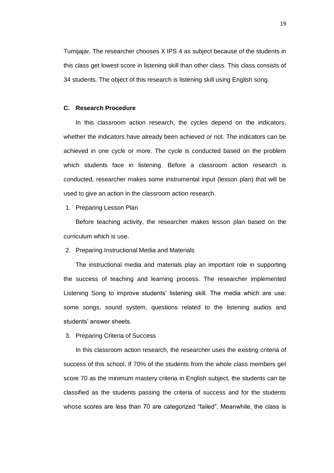Tumijajar. The researcher chooses X IPS 4 as subject because of the students in this class get lowest score in listening skill than other class. This class consists of 34 students. The object of this research is listening skill using English song.

# **C. Research Procedure**

In this classroom action research, the cycles depend on the indicators, whether the indicators have already been achieved or not. The indicators can be achieved in one cycle or more. The cycle is conducted based on the problem which students face in listening. Before a classroom action research is conducted, researcher makes some instrumental input (lesson plan) that will be used to give an action in the classroom action research.

1. Preparing Lesson Plan

Before teaching activity, the researcher makes lesson plan based on the curriculum which is use.

2. Preparing Instructional Media and Materials

The instructional media and materials play an important role in supporting the success of teaching and learning process. The researcher implemented Listening Song to improve students' listening skill. The media which are use: some songs, sound system, questions related to the listening audios and students' answer sheets.

3. Preparing Criteria of Success

In this classroom action research, the researcher uses the existing criteria of success of this school. If 70% of the students from the whole class members get score 70 as the minimum mastery criteria in English subject, the students can be classified as the students passing the criteria of success and for the students whose scores are less than 70 are categorized "failed". Meanwhile, the class is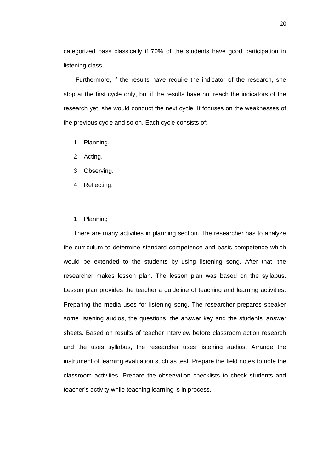categorized pass classically if 70% of the students have good participation in listening class.

Furthermore, if the results have require the indicator of the research, she stop at the first cycle only, but if the results have not reach the indicators of the research yet, she would conduct the next cycle. It focuses on the weaknesses of the previous cycle and so on. Each cycle consists of:

- 1. Planning.
- 2. Acting.
- 3. Observing.
- 4. Reflecting.
- 1. Planning

There are many activities in planning section. The researcher has to analyze the curriculum to determine standard competence and basic competence which would be extended to the students by using listening song. After that, the researcher makes lesson plan. The lesson plan was based on the syllabus. Lesson plan provides the teacher a guideline of teaching and learning activities. Preparing the media uses for listening song. The researcher prepares speaker some listening audios, the questions, the answer key and the students' answer sheets. Based on results of teacher interview before classroom action research and the uses syllabus, the researcher uses listening audios. Arrange the instrument of learning evaluation such as test. Prepare the field notes to note the classroom activities. Prepare the observation checklists to check students and teacher's activity while teaching learning is in process.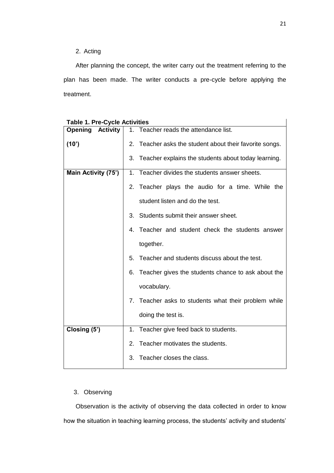# 2. Acting

After planning the concept, the writer carry out the treatment referring to the plan has been made. The writer conducts a pre-cycle before applying the treatment.

| <b>Activity</b><br><b>Opening</b> | 1. Teacher reads the attendance list.                      |  |  |
|-----------------------------------|------------------------------------------------------------|--|--|
| (10')                             | Teacher asks the student about their favorite songs.<br>2. |  |  |
|                                   | 3. Teacher explains the students about today learning.     |  |  |
| Main Activity (75')               | 1. Teacher divides the students answer sheets.             |  |  |
|                                   | 2. Teacher plays the audio for a time. While the           |  |  |
|                                   | student listen and do the test.                            |  |  |
|                                   | 3. Students submit their answer sheet.                     |  |  |
|                                   | 4. Teacher and student check the students answer           |  |  |
|                                   | together.                                                  |  |  |
|                                   | Teacher and students discuss about the test.<br>5.         |  |  |
|                                   | 6. Teacher gives the students chance to ask about the      |  |  |
|                                   | vocabulary.                                                |  |  |
|                                   | 7. Teacher asks to students what their problem while       |  |  |
|                                   | doing the test is.                                         |  |  |
| Closing (5')                      | Teacher give feed back to students.<br>1.                  |  |  |
|                                   | 2. Teacher motivates the students.                         |  |  |
|                                   | Teacher closes the class.<br>3.                            |  |  |

|  |  |  |  |  | <b>Table 1. Pre-Cycle Activities</b> |
|--|--|--|--|--|--------------------------------------|
|--|--|--|--|--|--------------------------------------|

# 3. Observing

Observation is the activity of observing the data collected in order to know how the situation in teaching learning process, the students' activity and students'

 $\overline{\phantom{a}}$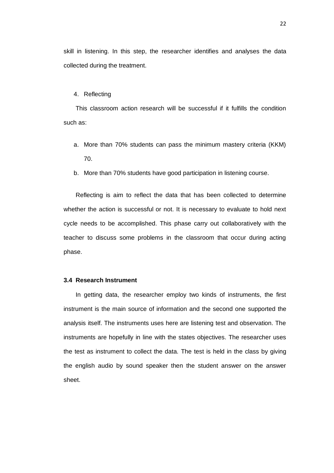skill in listening. In this step, the researcher identifies and analyses the data collected during the treatment.

#### 4. Reflecting

This classroom action research will be successful if it fulfills the condition such as:

- a. More than 70% students can pass the minimum mastery criteria (KKM) 70.
- b. More than 70% students have good participation in listening course.

Reflecting is aim to reflect the data that has been collected to determine whether the action is successful or not. It is necessary to evaluate to hold next cycle needs to be accomplished. This phase carry out collaboratively with the teacher to discuss some problems in the classroom that occur during acting phase.

## **3.4 Research Instrument**

In getting data, the researcher employ two kinds of instruments, the first instrument is the main source of information and the second one supported the analysis itself. The instruments uses here are listening test and observation. The instruments are hopefully in line with the states objectives. The researcher uses the test as instrument to collect the data. The test is held in the class by giving the english audio by sound speaker then the student answer on the answer sheet.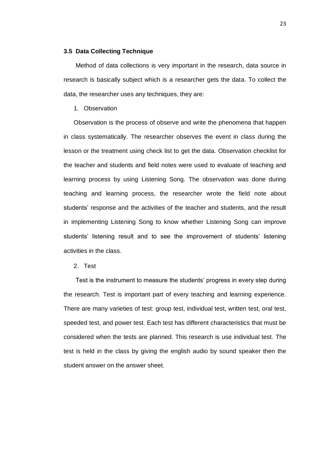### **3.5 Data Collecting Technique**

Method of data collections is very important in the research, data source in research is basically subject which is a researcher gets the data. To collect the data, the researcher uses any techniques, they are:

## 1. Observation

Observation is the process of observe and write the phenomena that happen in class systematically. The researcher observes the event in class during the lesson or the treatment using check list to get the data. Observation checklist for the teacher and students and field notes were used to evaluate of teaching and learning process by using Listening Song. The observation was done during teaching and learning process, the researcher wrote the field note about students' response and the activities of the teacher and students, and the result in implementing Listening Song to know whether Listening Song can improve students' listening result and to see the improvement of students' listening activities in the class.

2. Test

Test is the instrument to measure the students' progress in every step during the research. Test is important part of every teaching and learning experience. There are many varieties of test: group test, individual test, written test, oral test, speeded test, and power test. Each test has different characteristics that must be considered when the tests are planned. This research is use individual test. The test is held in the class by giving the english audio by sound speaker then the student answer on the answer sheet.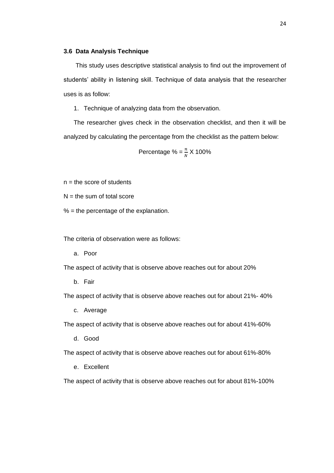### **3.6 Data Analysis Technique**

This study uses descriptive statistical analysis to find out the improvement of students' ability in listening skill. Technique of data analysis that the researcher uses is as follow:

1. Technique of analyzing data from the observation.

The researcher gives check in the observation checklist, and then it will be analyzed by calculating the percentage from the checklist as the pattern below:

Percentage % = 
$$
\frac{n}{N}
$$
 X 100%

 $n =$  the score of students

 $N =$  the sum of total score

 $% =$  the percentage of the explanation.

The criteria of observation were as follows:

a. Poor

The aspect of activity that is observe above reaches out for about 20%

b. Fair

The aspect of activity that is observe above reaches out for about 21%- 40%

c. Average

The aspect of activity that is observe above reaches out for about 41%-60%

d. Good

The aspect of activity that is observe above reaches out for about 61%-80%

e. Excellent

The aspect of activity that is observe above reaches out for about 81%-100%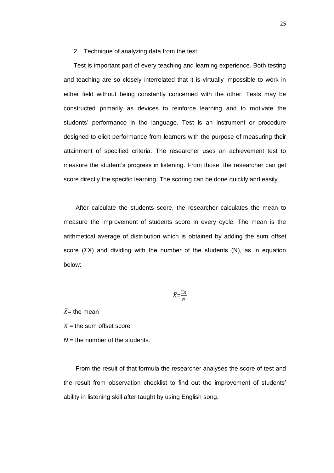### 2. Technique of analyzing data from the test

Test is important part of every teaching and learning experience. Both testing and teaching are so closely interrelated that it is virtually impossible to work in either field without being constantly concerned with the other. Tests may be constructed primarily as devices to reinforce learning and to motivate the students' performance in the language. Test is an instrument or procedure designed to elicit performance from learners with the purpose of measuring their attainment of specified criteria. The researcher uses an achievement test to measure the student's progress in listening. From those, the researcher can get score directly the specific learning. The scoring can be done quickly and easily.

After calculate the students score, the researcher calculates the mean to measure the improvement of students score in every cycle. The mean is the arithmetical average of distribution which is obtained by adding the sum offset score ( $\Sigma X$ ) and dividing with the number of the students (N), as in equation below:

$$
\bar{X} = \frac{\sum X}{N}
$$

 $\bar{X}$ = the mean

 $X =$  the sum offset score

 $N =$  the number of the students.

From the result of that formula the researcher analyses the score of test and the result from observation checklist to find out the improvement of students' ability in listening skill after taught by using English song.